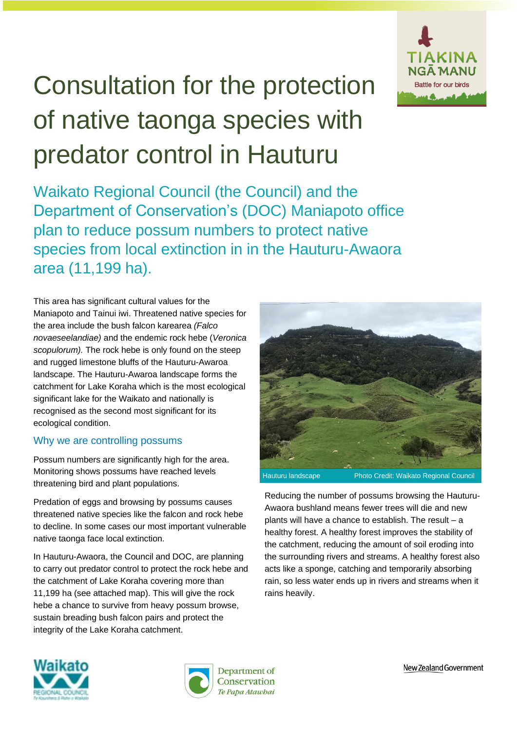

# Consultation for the protection of native taonga species with predator control in Hauturu

Waikato Regional Council (the Council) and the Department of Conservation's (DOC) Maniapoto office plan to reduce possum numbers to protect native species from local extinction in in the Hauturu-Awaora area (11,199 ha).

This area has significant cultural values for the Maniapoto and Tainui iwi. Threatened native species for the area include the bush falcon karearea *(Falco novaeseelandiae)* and the endemic rock hebe (*Veronica scopulorum).* The rock hebe is only found on the steep and rugged limestone bluffs of the Hauturu-Awaroa landscape. The Hauturu-Awaroa landscape forms the catchment for Lake Koraha which is the most ecological significant lake for the Waikato and nationally is recognised as the second most significant for its ecological condition.

## Why we are controlling possums

Possum numbers are significantly high for the area. Monitoring shows possums have reached levels threatening bird and plant populations.

Predation of eggs and browsing by possums causes threatened native species like the falcon and rock hebe to decline. In some cases our most important vulnerable native taonga face local extinction.

In Hauturu-Awaora, the Council and DOC, are planning to carry out predator control to protect the rock hebe and the catchment of Lake Koraha covering more than 11,199 ha (see attached map). This will give the rock hebe a chance to survive from heavy possum browse, sustain breading bush falcon pairs and protect the integrity of the Lake Koraha catchment.



Reducing the number of possums browsing the Hauturu-Awaora bushland means fewer trees will die and new plants will have a chance to establish. The result – a healthy forest. A healthy forest improves the stability of the catchment, reducing the amount of soil eroding into the surrounding rivers and streams. A healthy forest also acts like a sponge, catching and temporarily absorbing rain, so less water ends up in rivers and streams when it rains heavily.





New Zealand Government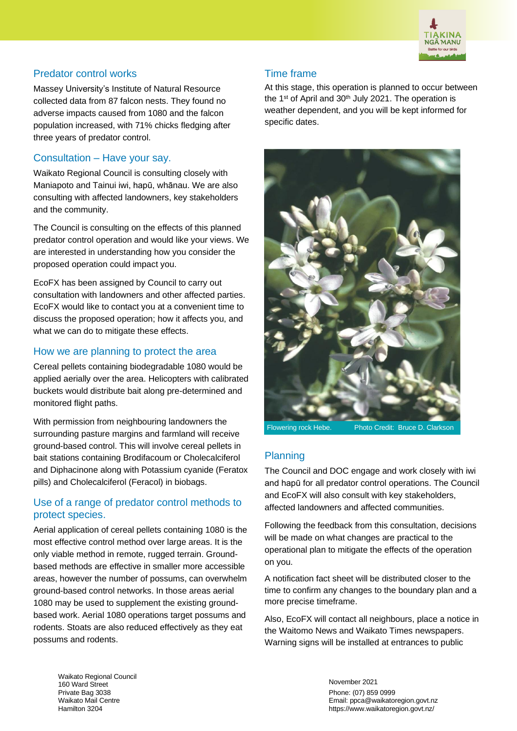

## Predator control works

Massey University's Institute of Natural Resource collected data from 87 falcon nests. They found no adverse impacts caused from 1080 and the falcon population increased, with 71% chicks fledging after three years of predator control.

#### Consultation – Have your say.

Waikato Regional Council is consulting closely with Maniapoto and Tainui iwi, hapū, whānau. We are also consulting with affected landowners, key stakeholders and the community.

The Council is consulting on the effects of this planned predator control operation and would like your views. We are interested in understanding how you consider the proposed operation could impact you.

EcoFX has been assigned by Council to carry out consultation with landowners and other affected parties. EcoFX would like to contact you at a convenient time to discuss the proposed operation; how it affects you, and what we can do to mitigate these effects.

#### How we are planning to protect the area

Cereal pellets containing biodegradable 1080 would be applied aerially over the area. Helicopters with calibrated buckets would distribute bait along pre-determined and monitored flight paths.

With permission from neighbouring landowners the surrounding pasture margins and farmland will receive ground-based control. This will involve cereal pellets in bait stations containing Brodifacoum or Cholecalciferol and Diphacinone along with Potassium cyanide (Feratox pills) and Cholecalciferol (Feracol) in biobags.

#### Use of a range of predator control methods to protect species.

Aerial application of cereal pellets containing 1080 is the most effective control method over large areas. It is the only viable method in remote, rugged terrain. Groundbased methods are effective in smaller more accessible areas, however the number of possums, can overwhelm ground-based control networks. In those areas aerial 1080 may be used to supplement the existing groundbased work. Aerial 1080 operations target possums and rodents. Stoats are also reduced effectively as they eat possums and rodents.

#### Time frame

At this stage, this operation is planned to occur between the 1<sup>st</sup> of April and 30<sup>th</sup> July 2021. The operation is weather dependent, and you will be kept informed for specific dates.



Flowering rock Hebe. Photo Credit: Bruce D. Clarkson

## **Planning**

The Council and DOC engage and work closely with iwi and hapū for all predator control operations. The Council and EcoFX will also consult with key stakeholders, affected landowners and affected communities.

Following the feedback from this consultation, decisions will be made on what changes are practical to the operational plan to mitigate the effects of the operation on you.

A notification fact sheet will be distributed closer to the time to confirm any changes to the boundary plan and a more precise timeframe.

Also, EcoFX will contact all neighbours, place a notice in the Waitomo News and Waikato Times newspapers. Warning signs will be installed at entrances to public

Waikato Regional Council 160 Ward Street Private Bag 3038 Waikato Mail Centre Hamilton 3204

November 2021 Phone: (07) 859 0999 Email: ppca@waikatoregion.govt.nz https://www.waikatoregion.govt.nz/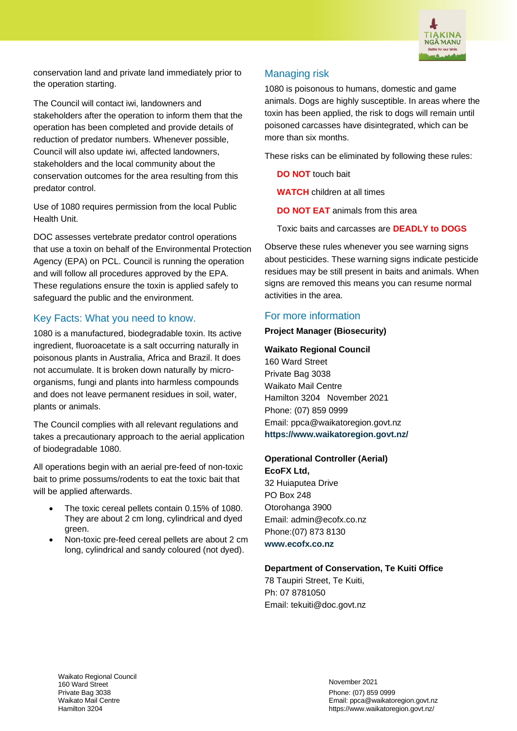

conservation land and private land immediately prior to the operation starting.

The Council will contact iwi, landowners and stakeholders after the operation to inform them that the operation has been completed and provide details of reduction of predator numbers. Whenever possible, Council will also update iwi, affected landowners, stakeholders and the local community about the conservation outcomes for the area resulting from this predator control.

Use of 1080 requires permission from the local Public Health Unit.

DOC assesses vertebrate predator control operations that use a toxin on behalf of the Environmental Protection Agency (EPA) on PCL. Council is running the operation and will follow all procedures approved by the EPA. These regulations ensure the toxin is applied safely to safeguard the public and the environment.

# Key Facts: What you need to know.

1080 is a manufactured, biodegradable toxin. Its active ingredient, fluoroacetate is a salt occurring naturally in poisonous plants in Australia, Africa and Brazil. It does not accumulate. It is broken down naturally by microorganisms, fungi and plants into harmless compounds and does not leave permanent residues in soil, water, plants or animals.

The Council complies with all relevant regulations and takes a precautionary approach to the aerial application of biodegradable 1080.

All operations begin with an aerial pre-feed of non-toxic bait to prime possums/rodents to eat the toxic bait that will be applied afterwards.

- The toxic cereal pellets contain 0.15% of 1080. They are about 2 cm long, cylindrical and dyed green.
- Non-toxic pre-feed cereal pellets are about 2 cm long, cylindrical and sandy coloured (not dyed).

# Managing risk

1080 is poisonous to humans, domestic and game animals. Dogs are highly susceptible. In areas where the toxin has been applied, the risk to dogs will remain until poisoned carcasses have disintegrated, which can be more than six months.

These risks can be eliminated by following these rules:

**DO NOT** touch bait

**WATCH** children at all times

**DO NOT EAT** animals from this area

Toxic baits and carcasses are **DEADLY to DOGS**

Observe these rules whenever you see warning signs about pesticides. These warning signs indicate pesticide residues may be still present in baits and animals. When signs are removed this means you can resume normal activities in the area.

#### For more information

#### **Project Manager (Biosecurity)**

#### **Waikato Regional Council**

160 Ward Street Private Bag 3038 Waikato Mail Centre Hamilton 3204 November 2021 Phone: (07) 859 0999 Email: ppca@waikatoregion.govt.nz **<https://www.waikatoregion.govt.nz/>**

**Operational Controller (Aerial)** 

**EcoFX Ltd,**  32 Huiaputea Drive PO Box 248 Otorohanga 3900 Email: admin@ecofx.co.nz Phone:(07) 873 8130 **[www.ecofx.co.nz](http://www.ecofx.co.nz/)**

#### **Department of Conservation, Te Kuiti Office**

78 Taupiri Street, Te Kuiti, Ph: 07 8781050 Email: tekuiti@doc.govt.nz